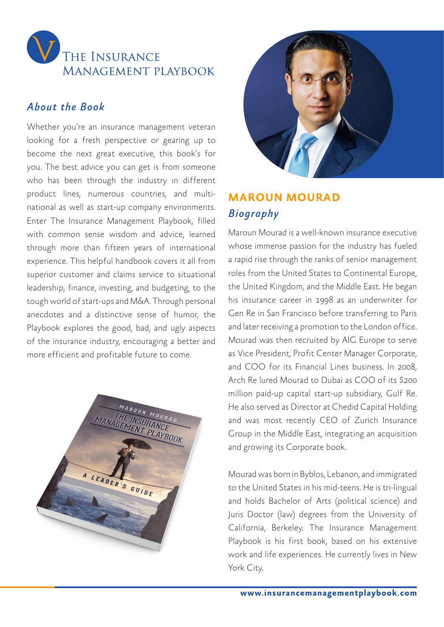

#### *About the Book*

Whether you're an insurance management veteran looking for a fresh perspective or gearing up to become the next great executive, this book's for you. The best advice you can get is from someone who has been through the industry in different product lines, numerous countries, and multinational as well as start-up company environments. Enter The Insurance Management Playbook, filled with common sense wisdom and advice, learned through more than fifteen years of international experience. This helpful handbook covers it all from superior customer and claims service to situational leadership, finance, investing, and budgeting, to the tough world of start-ups and M&A. Through personal anecdotes and a distinctive sense of humor, the Playbook explores the good, bad, and ugly aspects of the insurance industry, encouraging a better and more efficient and profitable future to come.





### **MAROUN MOURAD** *Biography*

Maroun Mourad is a well-known insurance executive whose immense passion for the industry has fueled a rapid rise through the ranks of senior management roles from the United States to Continental Europe, the United Kingdom, and the Middle East. He began his insurance career in 1998 as an underwriter for Gen Re in San Francisco before transferring to Paris and later receiving a promotion to the London office. Mourad was then recruited by AIG Europe to serve as Vice President, Profit Center Manager Corporate, and COO for its Financial Lines business. In 2008, Arch Re lured Mourad to Dubai as COO of its \$200 million paid-up capital start-up subsidiary, Gulf Re. He also served as Director at Chedid Capital Holding and was most recently CEO of Zurich Insurance Group in the Middle East, integrating an acquisition and growing its Corporate book.

Mourad was born in Byblos, Lebanon, and immigrated to the United States in his mid-teens. He is tri-lingual and holds Bachelor of Arts (political science) and Juris Doctor (law) degrees from the University of California, Berkeley. The Insurance Management Playbook is his first book, based on his extensive work and life experiences. He currently lives in New York City.